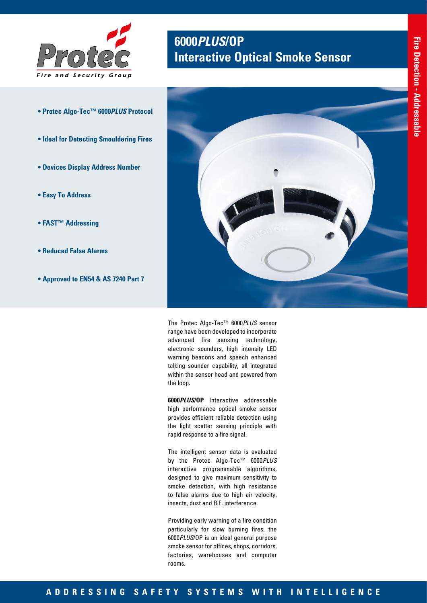

- **Protec Algo-Tec™ 6000***PLUS* **Protocol**
- **Ideal for Detecting Smouldering Fires**
- **Devices Display Address Number**
- **Easy To Address**
- **FAST™ Addressing**
- **Reduced False Alarms**
- **Approved to EN54 & AS 7240 Part 7**

# **6000***PLUS***/OP Interactive Optical Smoke Sensor**



The Protec Algo-Tec™ 6000*PLUS* sensor range have been developed to incorporate advanced fire sensing technology, electronic sounders, high intensity LED warning beacons and speech enhanced talking sounder capability, all integrated within the sensor head and powered from the loop.

**6000***PLUS***/OP** Interactive addressable high performance optical smoke sensor provides efficient reliable detection using the light scatter sensing principle with rapid response to a fire signal.

The intelligent sensor data is evaluated by the Protec Algo-Tec™ 6000*PLUS* interactive programmable algorithms, designed to give maximum sensitivity to smoke detection, with high resistance to false alarms due to high air velocity, insects, dust and R.F. interference.

Providing early warning of a fire condition particularly for slow burning fires, the 6000*PLUS*/OP is an ideal general purpose smoke sensor for offices, shops, corridors, factories, warehouses and computer rooms.